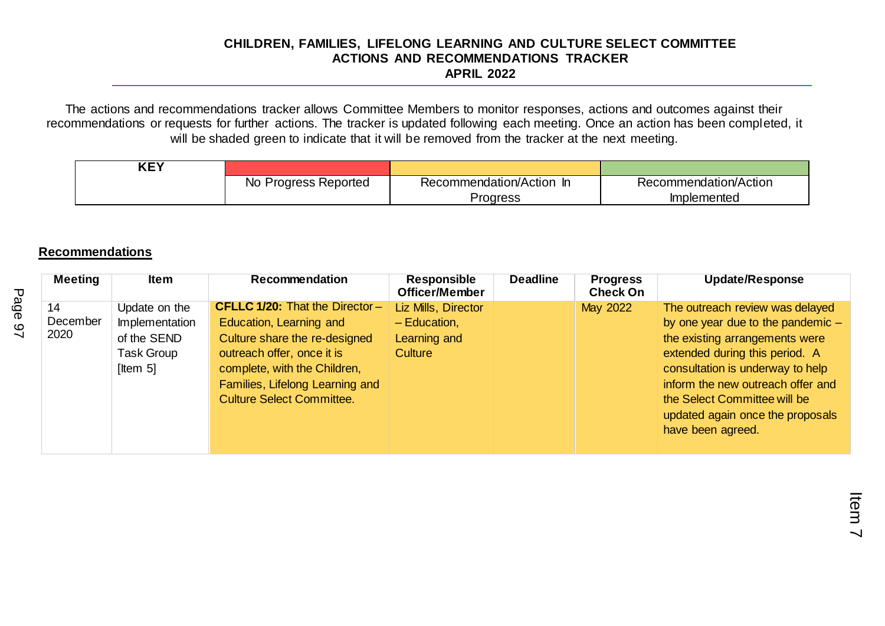The actions and recommendations tracker allows Committee Members to monitor responses, actions and outcomes against their recommendations or requests for further actions. The tracker is updated following each meeting. Once an action has been completed, it will be shaded green to indicate that it will be removed from the tracker at the next meeting.

| . ∟זי |                         |                       |                       |
|-------|-------------------------|-----------------------|-----------------------|
|       | No<br>Progress Reported | Recommendation/Action | Recommendation/Action |
|       |                         | Proaress              | <b>Implemented</b>    |

# **Recommendations**

| <b>Meeting</b>         | <b>Item</b>                                                                     | <b>Recommendation</b>                                                                                                                                                                                                                  | Responsible<br><b>Officer/Member</b>                                    | <b>Deadline</b> | <b>Progress</b><br><b>Check On</b> | <b>Update/Response</b>                                                                                                                                                                                                                                                                                       |
|------------------------|---------------------------------------------------------------------------------|----------------------------------------------------------------------------------------------------------------------------------------------------------------------------------------------------------------------------------------|-------------------------------------------------------------------------|-----------------|------------------------------------|--------------------------------------------------------------------------------------------------------------------------------------------------------------------------------------------------------------------------------------------------------------------------------------------------------------|
| 14<br>December<br>2020 | Update on the<br>Implementation<br>of the SEND<br><b>Task Group</b><br>[Item 5] | <b>CFLLC 1/20: That the Director-</b><br>Education, Learning and<br>Culture share the re-designed<br>outreach offer, once it is<br>complete, with the Children,<br>Families, Lifelong Learning and<br><b>Culture Select Committee.</b> | Liz Mills, Director<br>$-$ Education,<br>Learning and<br><b>Culture</b> |                 | May 2022                           | The outreach review was delayed<br>by one year due to the pandemic $-$<br>the existing arrangements were<br>extended during this period. A<br>consultation is underway to help<br>inform the new outreach offer and<br>the Select Committee will be<br>updated again once the proposals<br>have been agreed. |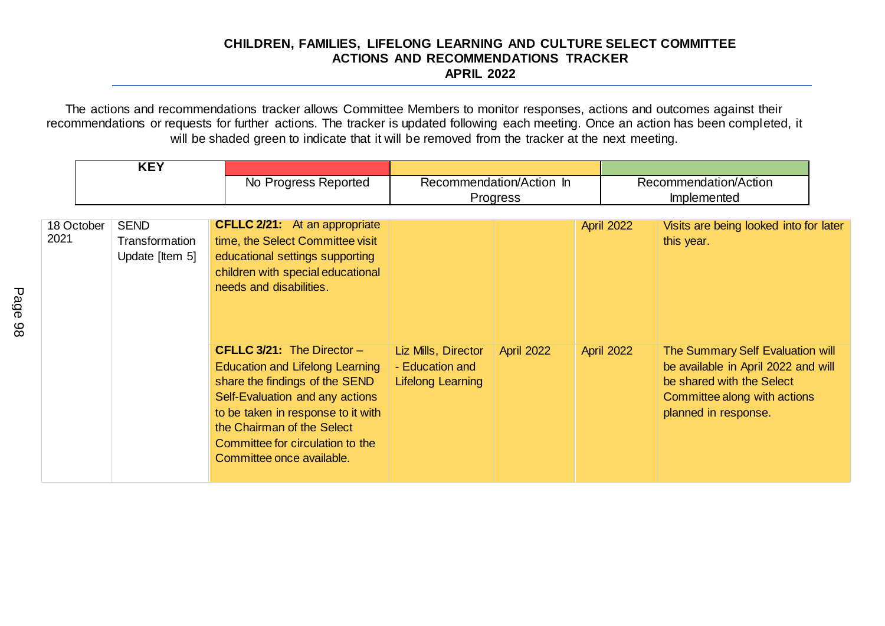|                    | <b>KEY</b>                                       |                                                                                                                                                                                                                                                                                         |                                                                    |                                      |                   |                                                                                                                                                              |
|--------------------|--------------------------------------------------|-----------------------------------------------------------------------------------------------------------------------------------------------------------------------------------------------------------------------------------------------------------------------------------------|--------------------------------------------------------------------|--------------------------------------|-------------------|--------------------------------------------------------------------------------------------------------------------------------------------------------------|
|                    |                                                  | No Progress Reported                                                                                                                                                                                                                                                                    |                                                                    | Recommendation/Action In<br>Progress |                   | Recommendation/Action<br>Implemented                                                                                                                         |
| 18 October<br>2021 | <b>SEND</b><br>Transformation<br>Update [Item 5] | <b>CFLLC 2/21:</b> At an appropriate<br>time, the Select Committee visit<br>educational settings supporting<br>children with special educational<br>needs and disabilities.                                                                                                             |                                                                    |                                      | April 2022        | Visits are being looked into for later<br>this year.                                                                                                         |
|                    |                                                  | <b>CFLLC 3/21:</b> The Director $-$<br><b>Education and Lifelong Learning</b><br>share the findings of the SEND<br>Self-Evaluation and any actions<br>to be taken in response to it with<br>the Chairman of the Select<br>Committee for circulation to the<br>Committee once available. | Liz Mills, Director<br>- Education and<br><b>Lifelong Learning</b> | <b>April 2022</b>                    | <b>April 2022</b> | The Summary Self Evaluation will<br>be available in April 2022 and will<br>be shared with the Select<br>Committee along with actions<br>planned in response. |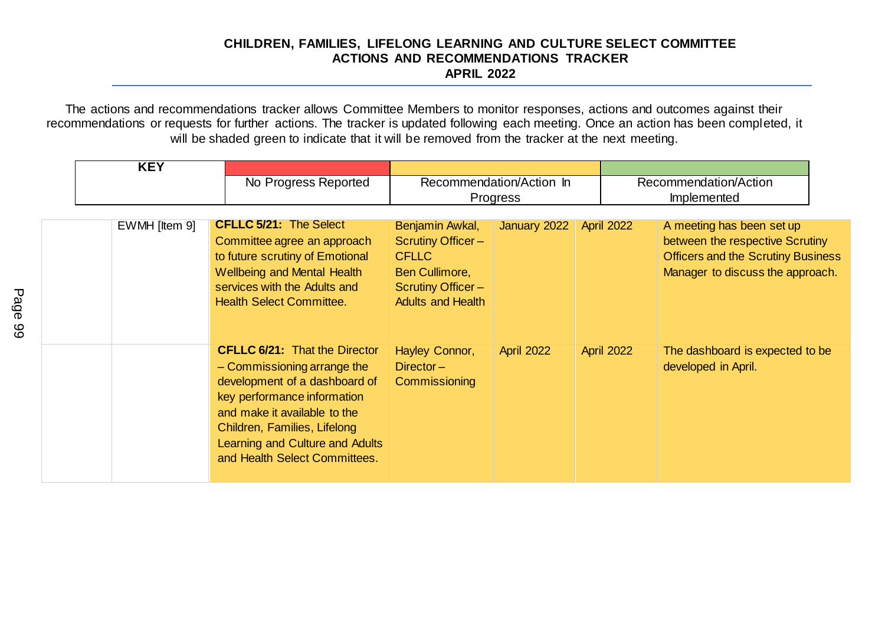| <b>KEY</b>    | No Progress Reported                                                                                                                                                                                                                                                    |                                                                                                                                       | Recommendation/Action In<br>Progress |                   | Recommendation/Action<br><b>Implemented</b>                                                                                                   |
|---------------|-------------------------------------------------------------------------------------------------------------------------------------------------------------------------------------------------------------------------------------------------------------------------|---------------------------------------------------------------------------------------------------------------------------------------|--------------------------------------|-------------------|-----------------------------------------------------------------------------------------------------------------------------------------------|
| EWMH [Item 9] | <b>CFLLC 5/21: The Select</b><br>Committee agree an approach<br>to future scrutiny of Emotional<br><b>Wellbeing and Mental Health</b><br>services with the Adults and<br><b>Health Select Committee.</b>                                                                | Benjamin Awkal,<br><b>Scrutiny Officer-</b><br><b>CFLLC</b><br>Ben Cullimore,<br><b>Scrutiny Officer-</b><br><b>Adults and Health</b> | January 2022                         | <b>April 2022</b> | A meeting has been set up<br>between the respective Scrutiny<br><b>Officers and the Scrutiny Business</b><br>Manager to discuss the approach. |
|               | <b>CFLLC 6/21: That the Director</b><br>- Commissioning arrange the<br>development of a dashboard of<br>key performance information<br>and make it available to the<br>Children, Families, Lifelong<br>Learning and Culture and Adults<br>and Health Select Committees. | Hayley Connor,<br>$Director -$<br>Commissioning                                                                                       | <b>April 2022</b>                    | April 2022        | The dashboard is expected to be<br>developed in April.                                                                                        |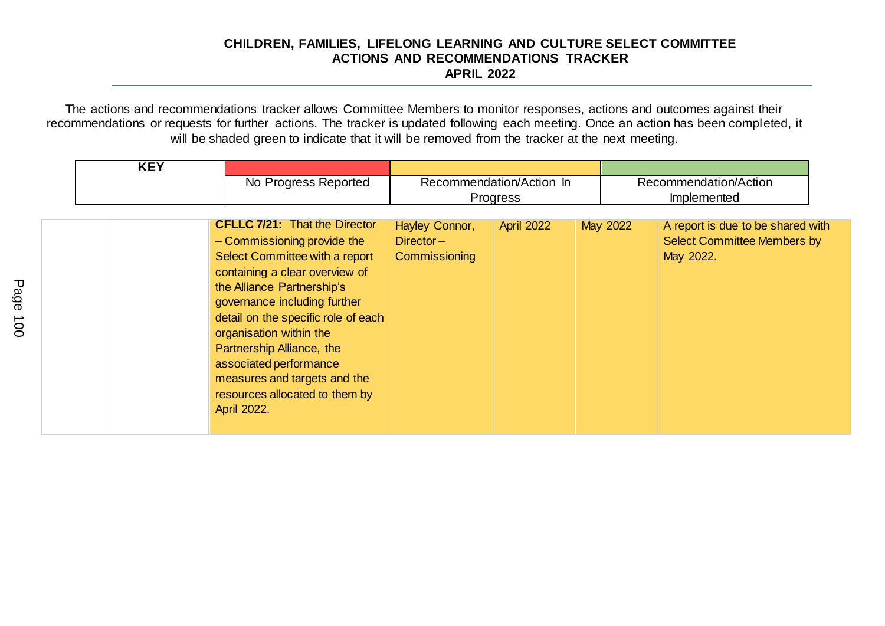| <b>KEY</b> | No Progress Reported                                                                                                                                                                                                                                                                                                                                                                                            |                                                 | Recommendation/Action In<br>Progress |          | Recommendation/Action<br>Implemented                                                 |
|------------|-----------------------------------------------------------------------------------------------------------------------------------------------------------------------------------------------------------------------------------------------------------------------------------------------------------------------------------------------------------------------------------------------------------------|-------------------------------------------------|--------------------------------------|----------|--------------------------------------------------------------------------------------|
|            | <b>CFLLC 7/21: That the Director</b><br>- Commissioning provide the<br>Select Committee with a report<br>containing a clear overview of<br>the Alliance Partnership's<br>governance including further<br>detail on the specific role of each<br>organisation within the<br>Partnership Alliance, the<br>associated performance<br>measures and targets and the<br>resources allocated to them by<br>April 2022. | Hayley Connor,<br>$Director -$<br>Commissioning | April 2022                           | May 2022 | A report is due to be shared with<br><b>Select Committee Members by</b><br>May 2022. |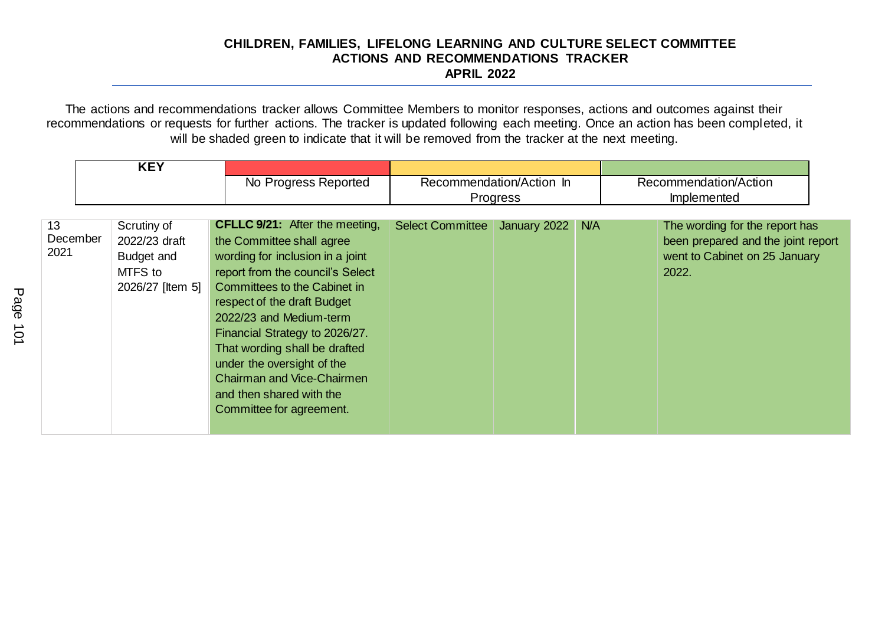|                        | <b>KEY</b>                                                                | No Progress Reported                                                                                                                                                                                                                                                                                                                                                                                                               |                         | Recommendation/Action In<br>Progress |     | Recommendation/Action<br>Implemented                                                                           |
|------------------------|---------------------------------------------------------------------------|------------------------------------------------------------------------------------------------------------------------------------------------------------------------------------------------------------------------------------------------------------------------------------------------------------------------------------------------------------------------------------------------------------------------------------|-------------------------|--------------------------------------|-----|----------------------------------------------------------------------------------------------------------------|
| 13<br>December<br>2021 | Scrutiny of<br>2022/23 draft<br>Budget and<br>MTFS to<br>2026/27 [Item 5] | <b>CFLLC 9/21:</b> After the meeting,<br>the Committee shall agree<br>wording for inclusion in a joint<br>report from the council's Select<br>Committees to the Cabinet in<br>respect of the draft Budget<br>2022/23 and Medium-term<br>Financial Strategy to 2026/27.<br>That wording shall be drafted<br>under the oversight of the<br><b>Chairman and Vice-Chairmen</b><br>and then shared with the<br>Committee for agreement. | <b>Select Committee</b> | January 2022                         | N/A | The wording for the report has<br>been prepared and the joint report<br>went to Cabinet on 25 January<br>2022. |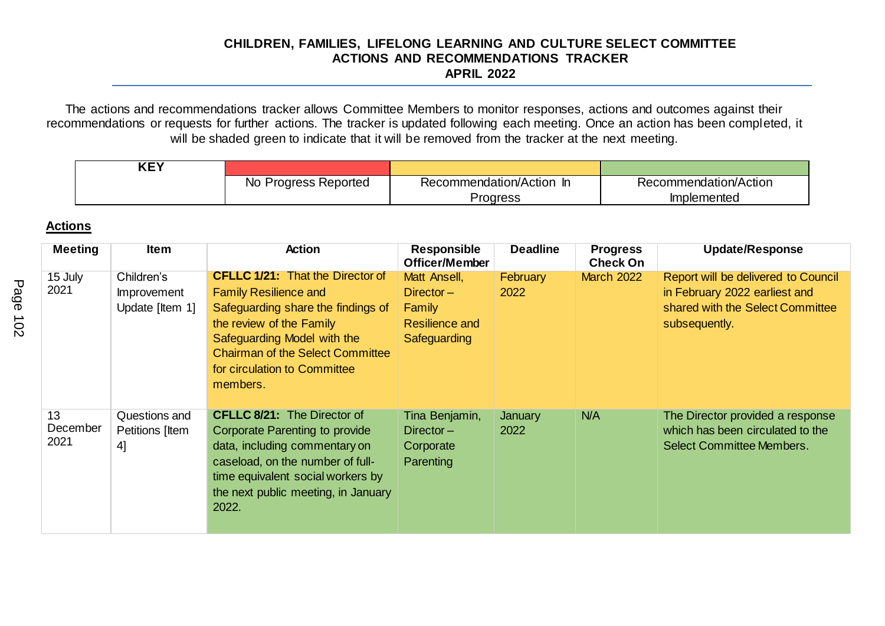The actions and recommendations tracker allows Committee Members to monitor responses, actions and outcomes against their recommendations or requests for further actions. The tracker is updated following each meeting. Once an action has been completed, it will be shaded green to indicate that it will be removed from the tracker at the next meeting.

| <b>KEY</b> |                      |                          |                       |
|------------|----------------------|--------------------------|-----------------------|
|            | No Progress Reported | Recommendation/Action In | Recommendation/Action |
|            |                      | <b>Progress</b>          | Implemented           |

# **Actions**

| <b>Meeting</b>         | <b>Item</b>                                         | <b>Action</b>                                                                                                                                                                                                                                                   | <b>Responsible</b><br>Officer/Member                                            | <b>Deadline</b>         | <b>Progress</b><br><b>Check On</b> | <b>Update/Response</b>                                                                                                    |
|------------------------|-----------------------------------------------------|-----------------------------------------------------------------------------------------------------------------------------------------------------------------------------------------------------------------------------------------------------------------|---------------------------------------------------------------------------------|-------------------------|------------------------------------|---------------------------------------------------------------------------------------------------------------------------|
| 15 July<br>2021        | Children's<br><b>Improvement</b><br>Update [Item 1] | <b>CFLLC 1/21: That the Director of</b><br><b>Family Resilience and</b><br>Safeguarding share the findings of<br>the review of the Family<br>Safeguarding Model with the<br><b>Chairman of the Select Committee</b><br>for circulation to Committee<br>members. | Matt Ansell,<br>$Director -$<br>Family<br><b>Resilience and</b><br>Safeguarding | <b>February</b><br>2022 | <b>March 2022</b>                  | Report will be delivered to Council<br>in February 2022 earliest and<br>shared with the Select Committee<br>subsequently. |
| 13<br>December<br>2021 | Questions and<br>Petitions [Item<br>41              | <b>CFLLC 8/21:</b> The Director of<br><b>Corporate Parenting to provide</b><br>data, including commentary on<br>caseload, on the number of full-<br>time equivalent social workers by<br>the next public meeting, in January<br>2022.                           | Tina Benjamin,<br>$Director -$<br>Corporate<br><b>Parenting</b>                 | January<br>2022         | N/A                                | The Director provided a response<br>which has been circulated to the<br><b>Select Committee Members.</b>                  |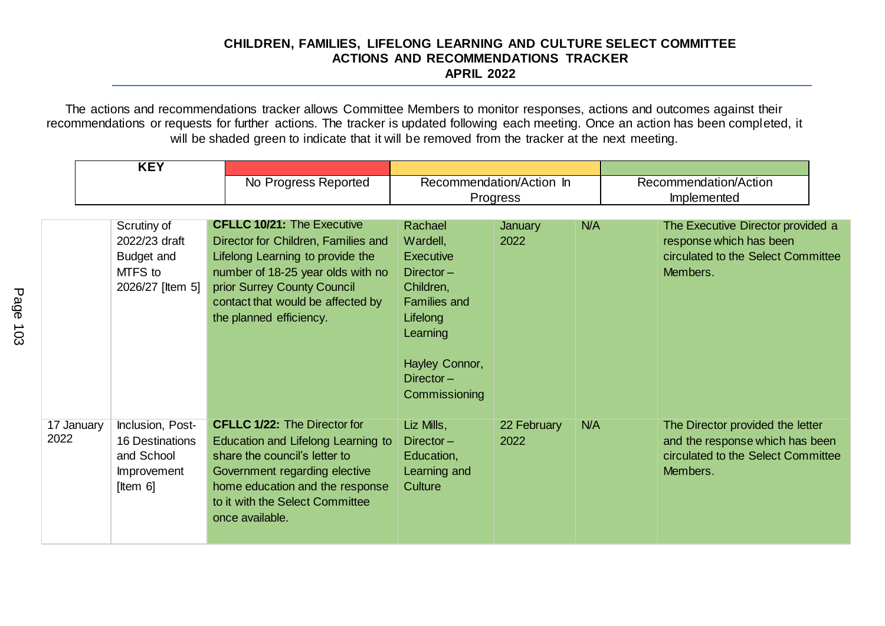|                    | <b>KEY</b>                                                                             |                                                                                                                                                                                                                                                  |                                                                                                                                                                 |                          |            |                                                                                                                       |
|--------------------|----------------------------------------------------------------------------------------|--------------------------------------------------------------------------------------------------------------------------------------------------------------------------------------------------------------------------------------------------|-----------------------------------------------------------------------------------------------------------------------------------------------------------------|--------------------------|------------|-----------------------------------------------------------------------------------------------------------------------|
|                    |                                                                                        | No Progress Reported                                                                                                                                                                                                                             |                                                                                                                                                                 | Recommendation/Action In |            | Recommendation/Action                                                                                                 |
|                    |                                                                                        |                                                                                                                                                                                                                                                  |                                                                                                                                                                 | Progress                 |            | Implemented                                                                                                           |
|                    | Scrutiny of<br>2022/23 draft<br>Budget and<br>MTFS to<br>2026/27 [Item 5]              | <b>CFLLC 10/21: The Executive</b><br>Director for Children, Families and<br>Lifelong Learning to provide the<br>number of 18-25 year olds with no<br>prior Surrey County Council<br>contact that would be affected by<br>the planned efficiency. | Rachael<br>Wardell,<br>Executive<br>$Director -$<br>Children,<br><b>Families and</b><br>Lifelong<br>Learning<br>Hayley Connor,<br>$Director -$<br>Commissioning | January<br>2022          | N/A        | The Executive Director provided a<br>response which has been<br>circulated to the Select Committee<br>Members.        |
| 17 January<br>2022 | Inclusion, Post-<br><b>16 Destinations</b><br>and School<br>Improvement<br>[Item $6$ ] | <b>CFLLC 1/22: The Director for</b><br>Education and Lifelong Learning to<br>share the council's letter to<br>Government regarding elective<br>home education and the response<br>to it with the Select Committee<br>once available.             | Liz Mills,<br>$Director -$<br>Education,<br>Learning and<br>Culture                                                                                             | 22 February<br>2022      | <b>N/A</b> | The Director provided the letter<br>and the response which has been<br>circulated to the Select Committee<br>Members. |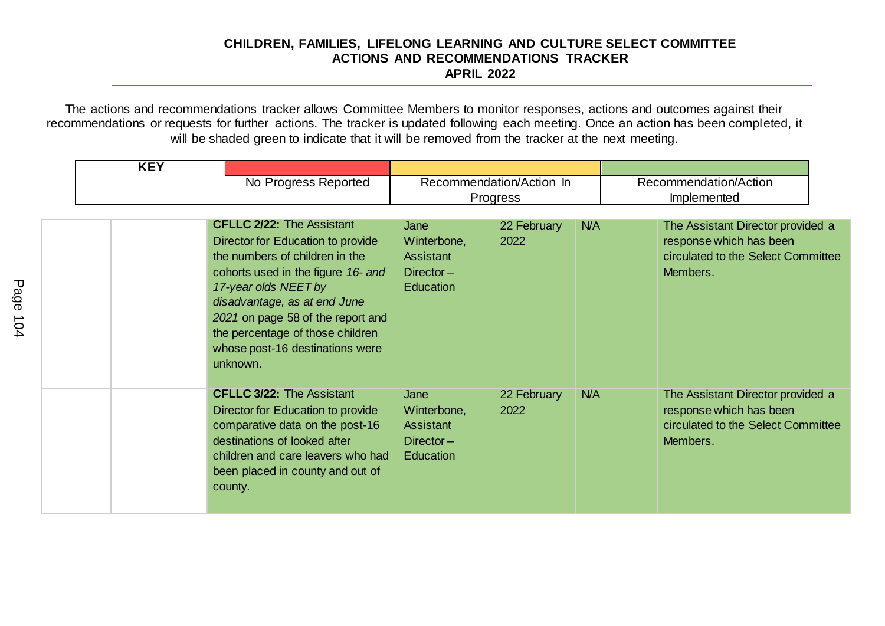| <b>KEY</b> |                                                                                                                                                                                                                                                                                                                               |                                                                             |                     |     |                                                                                                                |  |
|------------|-------------------------------------------------------------------------------------------------------------------------------------------------------------------------------------------------------------------------------------------------------------------------------------------------------------------------------|-----------------------------------------------------------------------------|---------------------|-----|----------------------------------------------------------------------------------------------------------------|--|
|            | No Progress Reported                                                                                                                                                                                                                                                                                                          | Recommendation/Action In<br>Progress                                        |                     |     | Recommendation/Action<br>Implemented                                                                           |  |
|            | <b>CFLLC 2/22: The Assistant</b><br>Director for Education to provide<br>the numbers of children in the<br>cohorts used in the figure 16- and<br>17-year olds NEET by<br>disadvantage, as at end June<br>2021 on page 58 of the report and<br>the percentage of those children<br>whose post-16 destinations were<br>unknown. | Jane<br>Winterbone,<br><b>Assistant</b><br>$Director -$<br><b>Education</b> | 22 February<br>2022 | N/A | The Assistant Director provided a<br>response which has been<br>circulated to the Select Committee<br>Members. |  |
|            | <b>CFLLC 3/22: The Assistant</b><br>Director for Education to provide<br>comparative data on the post-16<br>destinations of looked after<br>children and care leavers who had<br>been placed in county and out of<br>county.                                                                                                  | Jane<br>Winterbone,<br>Assistant<br>$Director -$<br>Education               | 22 February<br>2022 | N/A | The Assistant Director provided a<br>response which has been<br>circulated to the Select Committee<br>Members. |  |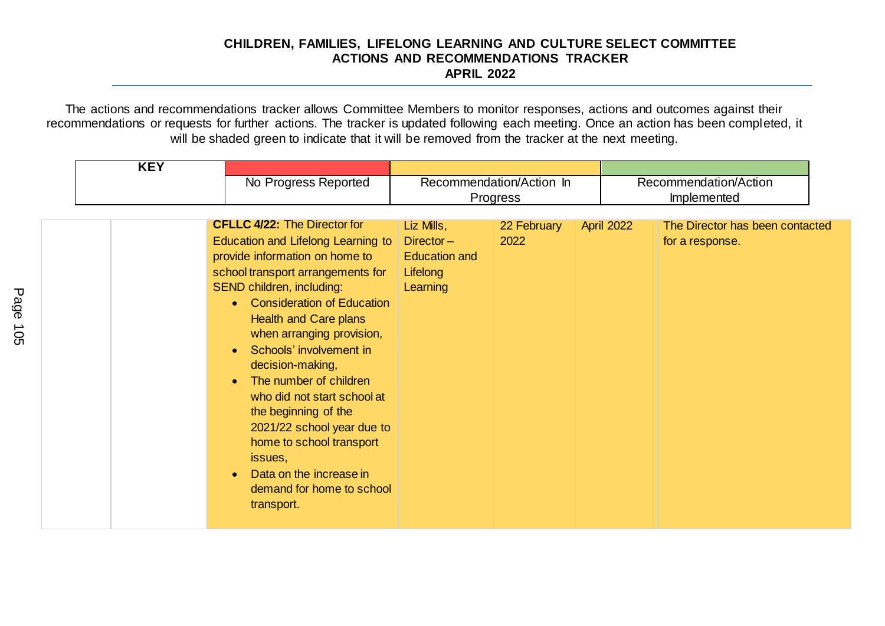| <b>KEY</b> |                                                                                                                                                                                                                                                                                                                                                                                                                                                                                                                                                            |                                                              |                                      |                                                      |
|------------|------------------------------------------------------------------------------------------------------------------------------------------------------------------------------------------------------------------------------------------------------------------------------------------------------------------------------------------------------------------------------------------------------------------------------------------------------------------------------------------------------------------------------------------------------------|--------------------------------------------------------------|--------------------------------------|------------------------------------------------------|
|            | No Progress Reported<br>Recommendation/Action In<br>Progress                                                                                                                                                                                                                                                                                                                                                                                                                                                                                               |                                                              | Recommendation/Action<br>Implemented |                                                      |
|            | <b>CFLLC 4/22: The Director for</b>                                                                                                                                                                                                                                                                                                                                                                                                                                                                                                                        | Liz Mills,                                                   | 22 February                          | The Director has been contacted<br><b>April 2022</b> |
|            | Education and Lifelong Learning to<br>provide information on home to<br>school transport arrangements for<br>SEND children, including:<br><b>Consideration of Education</b><br>$\bullet$<br><b>Health and Care plans</b><br>when arranging provision,<br>Schools' involvement in<br>$\bullet$<br>decision-making,<br>The number of children<br>$\bullet$<br>who did not start school at<br>the beginning of the<br>2021/22 school year due to<br>home to school transport<br>issues,<br>Data on the increase in<br>demand for home to school<br>transport. | $Director -$<br><b>Education and</b><br>Lifelong<br>Learning | 2022                                 | for a response.                                      |